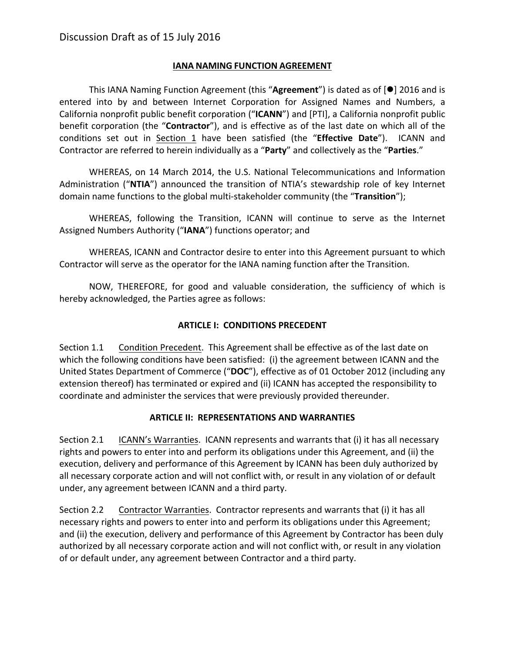# **IANA NAMING FUNCTION AGREEMENT**

This IANA Naming Function Agreement (this "Agreement") is dated as of  $[•]$  2016 and is entered into by and between Internet Corporation for Assigned Names and Numbers, a California nonprofit public benefit corporation ("ICANN") and [PTI], a California nonprofit public benefit corporation (the "Contractor"), and is effective as of the last date on which all of the conditions set out in Section 1 have been satisfied (the "Effective Date"). ICANN and Contractor are referred to herein individually as a "Party" and collectively as the "Parties."

WHEREAS, on 14 March 2014, the U.S. National Telecommunications and Information Administration ("NTIA") announced the transition of NTIA's stewardship role of key Internet domain name functions to the global multi-stakeholder community (the "Transition");

WHEREAS, following the Transition, ICANN will continue to serve as the Internet Assigned Numbers Authority ("IANA") functions operator; and

WHEREAS, ICANN and Contractor desire to enter into this Agreement pursuant to which Contractor will serve as the operator for the IANA naming function after the Transition.

NOW, THEREFORE, for good and valuable consideration, the sufficiency of which is hereby acknowledged, the Parties agree as follows:

# **ARTICLE I: CONDITIONS PRECEDENT**

Section 1.1 Condition Precedent. This Agreement shall be effective as of the last date on which the following conditions have been satisfied: (i) the agreement between ICANN and the United States Department of Commerce ("DOC"), effective as of 01 October 2012 (including any extension thereof) has terminated or expired and (ii) ICANN has accepted the responsibility to coordinate and administer the services that were previously provided thereunder.

# **ARTICLE II: REPRESENTATIONS AND WARRANTIES**

Section 2.1 ICANN's Warranties. ICANN represents and warrants that (i) it has all necessary rights and powers to enter into and perform its obligations under this Agreement, and (ii) the execution, delivery and performance of this Agreement by ICANN has been duly authorized by all necessary corporate action and will not conflict with, or result in any violation of or default under, any agreement between ICANN and a third party.

Section 2.2 Contractor Warranties. Contractor represents and warrants that (i) it has all necessary rights and powers to enter into and perform its obligations under this Agreement; and (ii) the execution, delivery and performance of this Agreement by Contractor has been duly authorized by all necessary corporate action and will not conflict with, or result in any violation of or default under, any agreement between Contractor and a third party.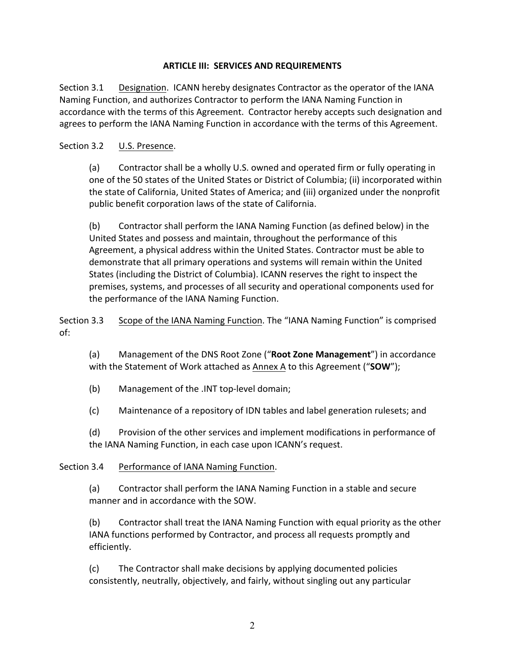#### **ARTICLE III: SERVICES AND REQUIREMENTS**

Section 3.1 Designation. ICANN hereby designates Contractor as the operator of the IANA Naming Function, and authorizes Contractor to perform the IANA Naming Function in accordance with the terms of this Agreement. Contractor hereby accepts such designation and agrees to perform the IANA Naming Function in accordance with the terms of this Agreement.

#### Section 3.2 U.S. Presence.

(a) Contractor shall be a wholly U.S. owned and operated firm or fully operating in one of the 50 states of the United States or District of Columbia; (ii) incorporated within the state of California, United States of America; and (iii) organized under the nonprofit public benefit corporation laws of the state of California.

(b) Contractor shall perform the IANA Naming Function (as defined below) in the United States and possess and maintain, throughout the performance of this Agreement, a physical address within the United States. Contractor must be able to demonstrate that all primary operations and systems will remain within the United States (including the District of Columbia). ICANN reserves the right to inspect the premises, systems, and processes of all security and operational components used for the performance of the IANA Naming Function.

Section 3.3 Scope of the IANA Naming Function. The "IANA Naming Function" is comprised of:

(a) Management of the DNS Root Zone ("**Root Zone Management**") in accordance with the Statement of Work attached as Annex A to this Agreement ("SOW");

(b) Management of the .INT top-level domain;

(c) Maintenance of a repository of IDN tables and label generation rulesets; and

(d) Provision of the other services and implement modifications in performance of the IANA Naming Function, in each case upon ICANN's request.

# Section 3.4 Performance of IANA Naming Function.

(a) Contractor shall perform the IANA Naming Function in a stable and secure manner and in accordance with the SOW.

(b) Contractor shall treat the IANA Naming Function with equal priority as the other IANA functions performed by Contractor, and process all requests promptly and efficiently.

(c) The Contractor shall make decisions by applying documented policies consistently, neutrally, objectively, and fairly, without singling out any particular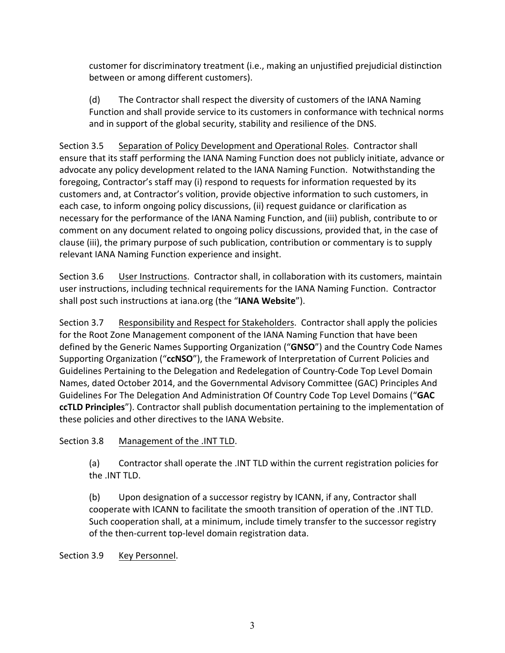customer for discriminatory treatment (i.e., making an unjustified prejudicial distinction between or among different customers).

(d) The Contractor shall respect the diversity of customers of the IANA Naming Function and shall provide service to its customers in conformance with technical norms and in support of the global security, stability and resilience of the DNS.

Section 3.5 Separation of Policy Development and Operational Roles. Contractor shall ensure that its staff performing the IANA Naming Function does not publicly initiate, advance or advocate any policy development related to the IANA Naming Function. Notwithstanding the foregoing, Contractor's staff may (i) respond to requests for information requested by its customers and, at Contractor's volition, provide objective information to such customers, in each case, to inform ongoing policy discussions, (ii) request guidance or clarification as necessary for the performance of the IANA Naming Function, and (iii) publish, contribute to or comment on any document related to ongoing policy discussions, provided that, in the case of clause (iii), the primary purpose of such publication, contribution or commentary is to supply relevant IANA Naming Function experience and insight.

Section 3.6 User Instructions. Contractor shall, in collaboration with its customers, maintain user instructions, including technical requirements for the IANA Naming Function. Contractor shall post such instructions at iana.org (the "IANA Website").

Section 3.7 Responsibility and Respect for Stakeholders. Contractor shall apply the policies for the Root Zone Management component of the IANA Naming Function that have been defined by the Generic Names Supporting Organization ("GNSO") and the Country Code Names Supporting Organization ("ccNSO"), the Framework of Interpretation of Current Policies and Guidelines Pertaining to the Delegation and Redelegation of Country-Code Top Level Domain Names, dated October 2014, and the Governmental Advisory Committee (GAC) Principles And Guidelines For The Delegation And Administration Of Country Code Top Level Domains ("GAC **ccTLD Principles**"). Contractor shall publish documentation pertaining to the implementation of these policies and other directives to the IANA Website.

Section 3.8 Management of the .INT TLD.

(a) Contractor shall operate the .INT TLD within the current registration policies for the .INT TLD.

(b) Upon designation of a successor registry by ICANN, if any, Contractor shall cooperate with ICANN to facilitate the smooth transition of operation of the .INT TLD. Such cooperation shall, at a minimum, include timely transfer to the successor registry of the then-current top-level domain registration data.

Section 3.9 Key Personnel.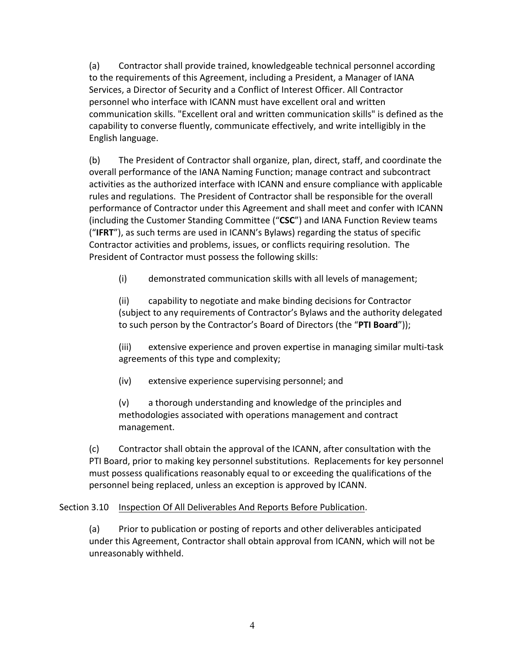(a) Contractor shall provide trained, knowledgeable technical personnel according to the requirements of this Agreement, including a President, a Manager of IANA Services, a Director of Security and a Conflict of Interest Officer. All Contractor personnel who interface with ICANN must have excellent oral and written communication skills. "Excellent oral and written communication skills" is defined as the capability to converse fluently, communicate effectively, and write intelligibly in the English language. 

(b) The President of Contractor shall organize, plan, direct, staff, and coordinate the overall performance of the IANA Naming Function; manage contract and subcontract activities as the authorized interface with ICANN and ensure compliance with applicable rules and regulations. The President of Contractor shall be responsible for the overall performance of Contractor under this Agreement and shall meet and confer with ICANN (including the Customer Standing Committee ("CSC") and IANA Function Review teams ("IFRT"), as such terms are used in ICANN's Bylaws) regarding the status of specific Contractor activities and problems, issues, or conflicts requiring resolution. The President of Contractor must possess the following skills:

(i) demonstrated communication skills with all levels of management;

(ii) capability to negotiate and make binding decisions for Contractor (subject to any requirements of Contractor's Bylaws and the authority delegated to such person by the Contractor's Board of Directors (the "**PTI Board**"));

(iii) extensive experience and proven expertise in managing similar multi-task agreements of this type and complexity;

(iv) extensive experience supervising personnel; and

(v) a thorough understanding and knowledge of the principles and methodologies associated with operations management and contract management.

(c) Contractor shall obtain the approval of the ICANN, after consultation with the PTI Board, prior to making key personnel substitutions. Replacements for key personnel must possess qualifications reasonably equal to or exceeding the qualifications of the personnel being replaced, unless an exception is approved by ICANN.

# Section 3.10 Inspection Of All Deliverables And Reports Before Publication.

(a) Prior to publication or posting of reports and other deliverables anticipated under this Agreement, Contractor shall obtain approval from ICANN, which will not be unreasonably withheld.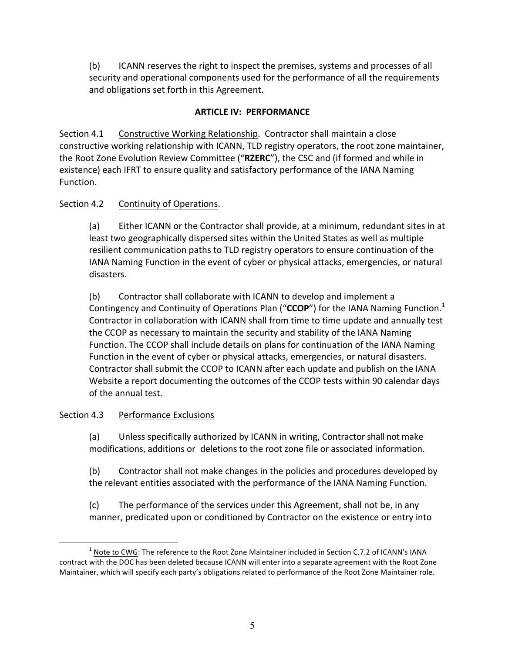(b) ICANN reserves the right to inspect the premises, systems and processes of all security and operational components used for the performance of all the requirements and obligations set forth in this Agreement.

# **ARTICLE IV: PERFORMANCE**

Section 4.1 Constructive Working Relationship. Contractor shall maintain a close constructive working relationship with ICANN, TLD registry operators, the root zone maintainer, the Root Zone Evolution Review Committee ("RZERC"), the CSC and (if formed and while in existence) each IFRT to ensure quality and satisfactory performance of the IANA Naming Function.

# Section 4.2 Continuity of Operations.

(a) Either ICANN or the Contractor shall provide, at a minimum, redundant sites in at least two geographically dispersed sites within the United States as well as multiple resilient communication paths to TLD registry operators to ensure continuation of the IANA Naming Function in the event of cyber or physical attacks, emergencies, or natural disasters.

(b) Contractor shall collaborate with ICANN to develop and implement a Contingency and Continuity of Operations Plan ("**CCOP**") for the IANA Naming Function.<sup>1</sup> Contractor in collaboration with ICANN shall from time to time update and annually test the CCOP as necessary to maintain the security and stability of the IANA Naming Function. The CCOP shall include details on plans for continuation of the IANA Naming Function in the event of cyber or physical attacks, emergencies, or natural disasters. Contractor shall submit the CCOP to ICANN after each update and publish on the IANA Website a report documenting the outcomes of the CCOP tests within 90 calendar days of the annual test.

# Section 4.3 Performance Exclusions

(a) Unless specifically authorized by ICANN in writing, Contractor shall not make modifications, additions or deletions to the root zone file or associated information.

(b) Contractor shall not make changes in the policies and procedures developed by the relevant entities associated with the performance of the IANA Naming Function.

(c) The performance of the services under this Agreement, shall not be, in any manner, predicated upon or conditioned by Contractor on the existence or entry into

 $1$  Note to CWG: The reference to the Root Zone Maintainer included in Section C.7.2 of ICANN's IANA contract with the DOC has been deleted because ICANN will enter into a separate agreement with the Root Zone Maintainer, which will specify each party's obligations related to performance of the Root Zone Maintainer role.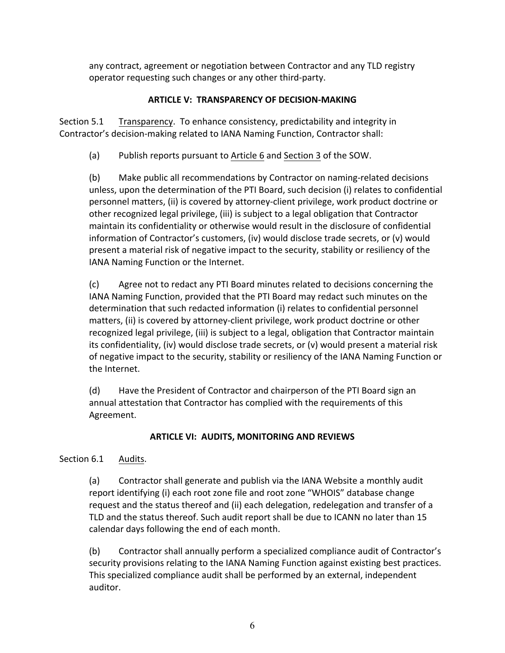any contract, agreement or negotiation between Contractor and any TLD registry operator requesting such changes or any other third-party.

# **ARTICLE V: TRANSPARENCY OF DECISION-MAKING**

Section 5.1 Transparency. To enhance consistency, predictability and integrity in Contractor's decision-making related to IANA Naming Function, Contractor shall:

(a) Publish reports pursuant to Article 6 and Section 3 of the SOW.

(b) Make public all recommendations by Contractor on naming-related decisions unless, upon the determination of the PTI Board, such decision (i) relates to confidential personnel matters, (ii) is covered by attorney-client privilege, work product doctrine or other recognized legal privilege, (iii) is subject to a legal obligation that Contractor maintain its confidentiality or otherwise would result in the disclosure of confidential information of Contractor's customers, (iv) would disclose trade secrets, or (v) would present a material risk of negative impact to the security, stability or resiliency of the IANA Naming Function or the Internet.

(c) Agree not to redact any PTI Board minutes related to decisions concerning the IANA Naming Function, provided that the PTI Board may redact such minutes on the determination that such redacted information (i) relates to confidential personnel matters, (ii) is covered by attorney-client privilege, work product doctrine or other recognized legal privilege, (iii) is subject to a legal, obligation that Contractor maintain its confidentiality, (iv) would disclose trade secrets, or  $(v)$  would present a material risk of negative impact to the security, stability or resiliency of the IANA Naming Function or the Internet.

(d) Have the President of Contractor and chairperson of the PTI Board sign an annual attestation that Contractor has complied with the requirements of this Agreement.

# **ARTICLE VI: AUDITS, MONITORING AND REVIEWS**

# Section 6.1 Audits.

(a) Contractor shall generate and publish via the IANA Website a monthly audit report identifying (i) each root zone file and root zone "WHOIS" database change request and the status thereof and (ii) each delegation, redelegation and transfer of a TLD and the status thereof. Such audit report shall be due to ICANN no later than 15 calendar days following the end of each month.

(b) Contractor shall annually perform a specialized compliance audit of Contractor's security provisions relating to the IANA Naming Function against existing best practices. This specialized compliance audit shall be performed by an external, independent auditor.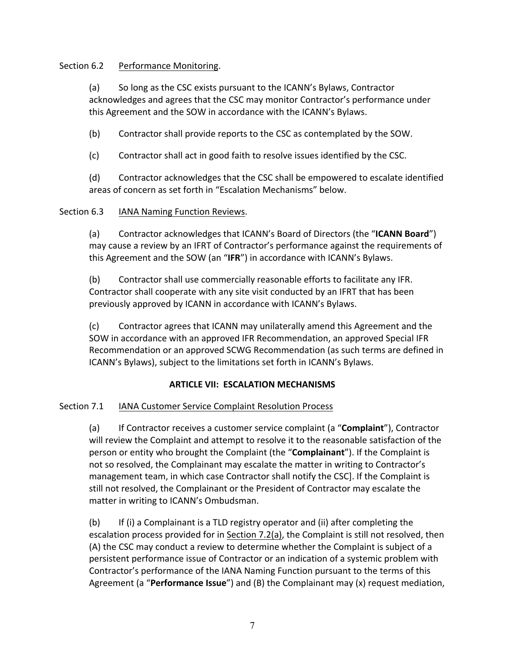# Section 6.2 Performance Monitoring.

(a) So long as the CSC exists pursuant to the ICANN's Bylaws, Contractor acknowledges and agrees that the CSC may monitor Contractor's performance under this Agreement and the SOW in accordance with the ICANN's Bylaws.

(b) Contractor shall provide reports to the CSC as contemplated by the SOW.

(c) Contractor shall act in good faith to resolve issues identified by the CSC.

(d) Contractor acknowledges that the CSC shall be empowered to escalate identified areas of concern as set forth in "Escalation Mechanisms" below.

Section 6.3 IANA Naming Function Reviews.

(a) Contractor acknowledges that ICANN's Board of Directors (the "ICANN Board") may cause a review by an IFRT of Contractor's performance against the requirements of this Agreement and the SOW (an "IFR") in accordance with ICANN's Bylaws.

(b) Contractor shall use commercially reasonable efforts to facilitate any IFR. Contractor shall cooperate with any site visit conducted by an IFRT that has been previously approved by ICANN in accordance with ICANN's Bylaws.

(c) Contractor agrees that ICANN may unilaterally amend this Agreement and the SOW in accordance with an approved IFR Recommendation, an approved Special IFR Recommendation or an approved SCWG Recommendation (as such terms are defined in ICANN's Bylaws), subject to the limitations set forth in ICANN's Bylaws.

# **ARTICLE VII: ESCALATION MECHANISMS**

# Section 7.1 IANA Customer Service Complaint Resolution Process

(a) If Contractor receives a customer service complaint (a "**Complaint**"), Contractor will review the Complaint and attempt to resolve it to the reasonable satisfaction of the person or entity who brought the Complaint (the "**Complainant**"). If the Complaint is not so resolved, the Complainant may escalate the matter in writing to Contractor's management team, in which case Contractor shall notify the CSC]. If the Complaint is still not resolved, the Complainant or the President of Contractor may escalate the matter in writing to ICANN's Ombudsman.

(b) If (i) a Complainant is a TLD registry operator and (ii) after completing the escalation process provided for in Section 7.2(a), the Complaint is still not resolved, then (A) the CSC may conduct a review to determine whether the Complaint is subject of a persistent performance issue of Contractor or an indication of a systemic problem with Contractor's performance of the IANA Naming Function pursuant to the terms of this Agreement (a "**Performance Issue**") and (B) the Complainant may (x) request mediation,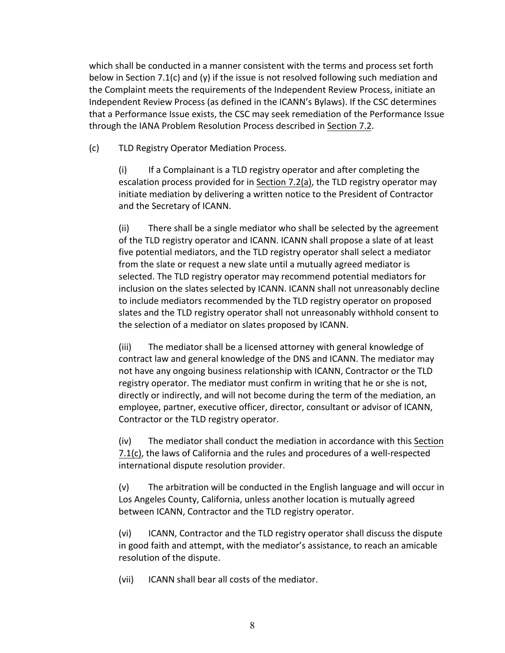which shall be conducted in a manner consistent with the terms and process set forth below in Section 7.1(c) and (y) if the issue is not resolved following such mediation and the Complaint meets the requirements of the Independent Review Process, initiate an Independent Review Process (as defined in the ICANN's Bylaws). If the CSC determines that a Performance Issue exists, the CSC may seek remediation of the Performance Issue through the IANA Problem Resolution Process described in Section 7.2.

(c) TLD Registry Operator Mediation Process.

(i) If a Complainant is a TLD registry operator and after completing the escalation process provided for in Section 7.2(a), the TLD registry operator may initiate mediation by delivering a written notice to the President of Contractor and the Secretary of ICANN.

(ii) There shall be a single mediator who shall be selected by the agreement of the TLD registry operator and ICANN. ICANN shall propose a slate of at least five potential mediators, and the TLD registry operator shall select a mediator from the slate or request a new slate until a mutually agreed mediator is selected. The TLD registry operator may recommend potential mediators for inclusion on the slates selected by ICANN. ICANN shall not unreasonably decline to include mediators recommended by the TLD registry operator on proposed slates and the TLD registry operator shall not unreasonably withhold consent to the selection of a mediator on slates proposed by ICANN.

(iii) The mediator shall be a licensed attorney with general knowledge of contract law and general knowledge of the DNS and ICANN. The mediator may not have any ongoing business relationship with ICANN, Contractor or the TLD registry operator. The mediator must confirm in writing that he or she is not, directly or indirectly, and will not become during the term of the mediation, an employee, partner, executive officer, director, consultant or advisor of ICANN, Contractor or the TLD registry operator.

(iv) The mediator shall conduct the mediation in accordance with this Section  $7.1(c)$ , the laws of California and the rules and procedures of a well-respected international dispute resolution provider.

(v) The arbitration will be conducted in the English language and will occur in Los Angeles County, California, unless another location is mutually agreed between ICANN, Contractor and the TLD registry operator.

(vi) ICANN, Contractor and the TLD registry operator shall discuss the dispute in good faith and attempt, with the mediator's assistance, to reach an amicable resolution of the dispute.

(vii) ICANN shall bear all costs of the mediator.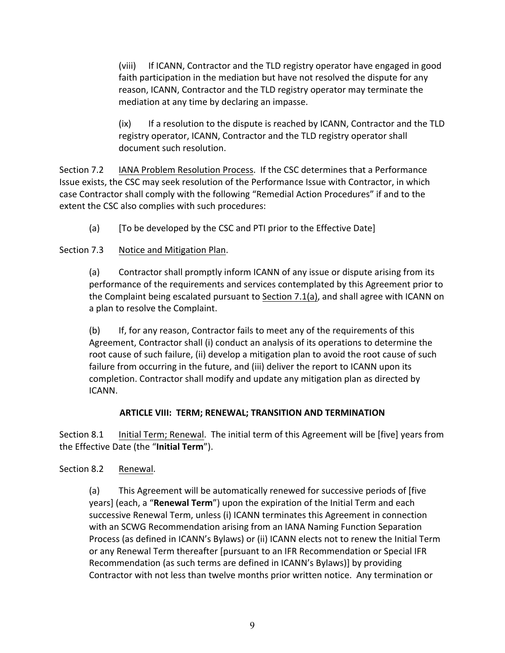(viii) If ICANN, Contractor and the TLD registry operator have engaged in good faith participation in the mediation but have not resolved the dispute for any reason, ICANN, Contractor and the TLD registry operator may terminate the mediation at any time by declaring an impasse.

 $(ix)$  If a resolution to the dispute is reached by ICANN, Contractor and the TLD registry operator, ICANN, Contractor and the TLD registry operator shall document such resolution.

Section 7.2 IANA Problem Resolution Process. If the CSC determines that a Performance Issue exists, the CSC may seek resolution of the Performance Issue with Contractor, in which case Contractor shall comply with the following "Remedial Action Procedures" if and to the extent the CSC also complies with such procedures:

(a) [To be developed by the CSC and PTI prior to the Effective Date]

# Section 7.3 Notice and Mitigation Plan.

(a) Contractor shall promptly inform ICANN of any issue or dispute arising from its performance of the requirements and services contemplated by this Agreement prior to the Complaint being escalated pursuant to Section 7.1(a), and shall agree with ICANN on a plan to resolve the Complaint.

(b) If, for any reason, Contractor fails to meet any of the requirements of this Agreement, Contractor shall (i) conduct an analysis of its operations to determine the root cause of such failure, (ii) develop a mitigation plan to avoid the root cause of such failure from occurring in the future, and (iii) deliver the report to ICANN upon its completion. Contractor shall modify and update any mitigation plan as directed by ICANN.

# **ARTICLE VIII: TERM; RENEWAL; TRANSITION AND TERMINATION**

Section 8.1 Initial Term; Renewal. The initial term of this Agreement will be [five] years from the Effective Date (the "Initial Term").

# Section 8.2 Renewal.

(a) This Agreement will be automatically renewed for successive periods of [five years] (each, a "Renewal Term") upon the expiration of the Initial Term and each successive Renewal Term, unless (i) ICANN terminates this Agreement in connection with an SCWG Recommendation arising from an IANA Naming Function Separation Process (as defined in ICANN's Bylaws) or (ii) ICANN elects not to renew the Initial Term or any Renewal Term thereafter [pursuant to an IFR Recommendation or Special IFR Recommendation (as such terms are defined in ICANN's Bylaws)] by providing Contractor with not less than twelve months prior written notice. Any termination or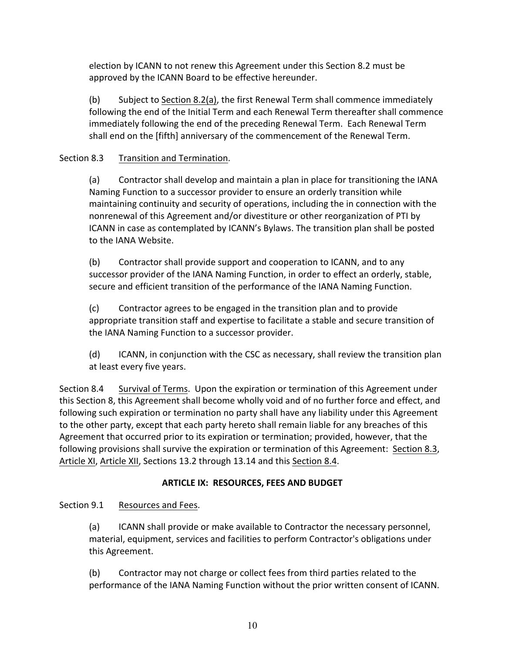election by ICANN to not renew this Agreement under this Section 8.2 must be approved by the ICANN Board to be effective hereunder.

(b) Subject to Section 8.2(a), the first Renewal Term shall commence immediately following the end of the Initial Term and each Renewal Term thereafter shall commence immediately following the end of the preceding Renewal Term. Each Renewal Term shall end on the [fifth] anniversary of the commencement of the Renewal Term.

# Section 8.3 Transition and Termination.

(a) Contractor shall develop and maintain a plan in place for transitioning the IANA Naming Function to a successor provider to ensure an orderly transition while maintaining continuity and security of operations, including the in connection with the nonrenewal of this Agreement and/or divestiture or other reorganization of PTI by ICANN in case as contemplated by ICANN's Bylaws. The transition plan shall be posted to the IANA Website.

(b) Contractor shall provide support and cooperation to ICANN, and to any successor provider of the IANA Naming Function, in order to effect an orderly, stable, secure and efficient transition of the performance of the IANA Naming Function.

(c) Contractor agrees to be engaged in the transition plan and to provide appropriate transition staff and expertise to facilitate a stable and secure transition of the IANA Naming Function to a successor provider.

(d) ICANN, in conjunction with the CSC as necessary, shall review the transition plan at least every five years.

Section 8.4 Survival of Terms. Upon the expiration or termination of this Agreement under this Section 8, this Agreement shall become wholly void and of no further force and effect, and following such expiration or termination no party shall have any liability under this Agreement to the other party, except that each party hereto shall remain liable for any breaches of this Agreement that occurred prior to its expiration or termination; provided, however, that the following provisions shall survive the expiration or termination of this Agreement: Section 8.3, Article XI, Article XII, Sections 13.2 through 13.14 and this Section 8.4.

# **ARTICLE IX: RESOURCES, FEES AND BUDGET**

# Section 9.1 Resources and Fees.

(a) ICANN shall provide or make available to Contractor the necessary personnel, material, equipment, services and facilities to perform Contractor's obligations under this Agreement.

(b) Contractor may not charge or collect fees from third parties related to the performance of the IANA Naming Function without the prior written consent of ICANN.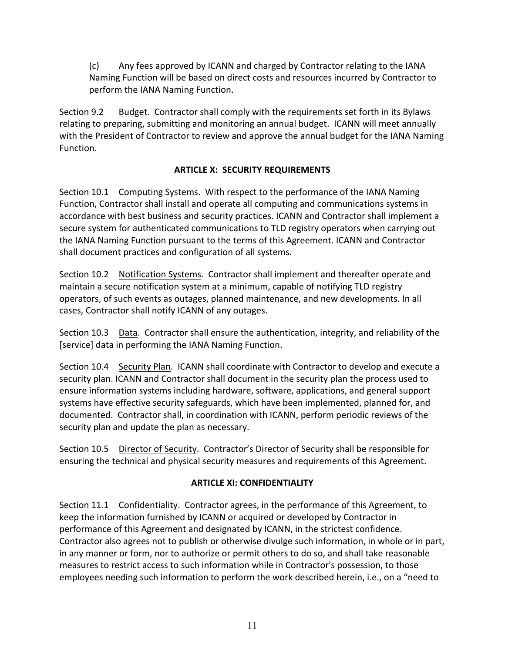(c) Any fees approved by ICANN and charged by Contractor relating to the IANA Naming Function will be based on direct costs and resources incurred by Contractor to perform the IANA Naming Function.

Section 9.2 Budget. Contractor shall comply with the requirements set forth in its Bylaws relating to preparing, submitting and monitoring an annual budget. ICANN will meet annually with the President of Contractor to review and approve the annual budget for the IANA Naming Function.

# **ARTICLE X: SECURITY REQUIREMENTS**

Section 10.1 Computing Systems. With respect to the performance of the IANA Naming Function, Contractor shall install and operate all computing and communications systems in accordance with best business and security practices. ICANN and Contractor shall implement a secure system for authenticated communications to TLD registry operators when carrying out the IANA Naming Function pursuant to the terms of this Agreement. ICANN and Contractor shall document practices and configuration of all systems.

Section 10.2 Notification Systems. Contractor shall implement and thereafter operate and maintain a secure notification system at a minimum, capable of notifying TLD registry operators, of such events as outages, planned maintenance, and new developments. In all cases, Contractor shall notify ICANN of any outages.

Section 10.3 Data. Contractor shall ensure the authentication, integrity, and reliability of the [service] data in performing the IANA Naming Function.

Section 10.4 Security Plan. ICANN shall coordinate with Contractor to develop and execute a security plan. ICANN and Contractor shall document in the security plan the process used to ensure information systems including hardware, software, applications, and general support systems have effective security safeguards, which have been implemented, planned for, and documented. Contractor shall, in coordination with ICANN, perform periodic reviews of the security plan and update the plan as necessary.

Section 10.5 Director of Security. Contractor's Director of Security shall be responsible for ensuring the technical and physical security measures and requirements of this Agreement.

# **ARTICLE XI: CONFIDENTIALITY**

Section 11.1 Confidentiality. Contractor agrees, in the performance of this Agreement, to keep the information furnished by ICANN or acquired or developed by Contractor in performance of this Agreement and designated by ICANN, in the strictest confidence. Contractor also agrees not to publish or otherwise divulge such information, in whole or in part, in any manner or form, nor to authorize or permit others to do so, and shall take reasonable measures to restrict access to such information while in Contractor's possession, to those employees needing such information to perform the work described herein, i.e., on a "need to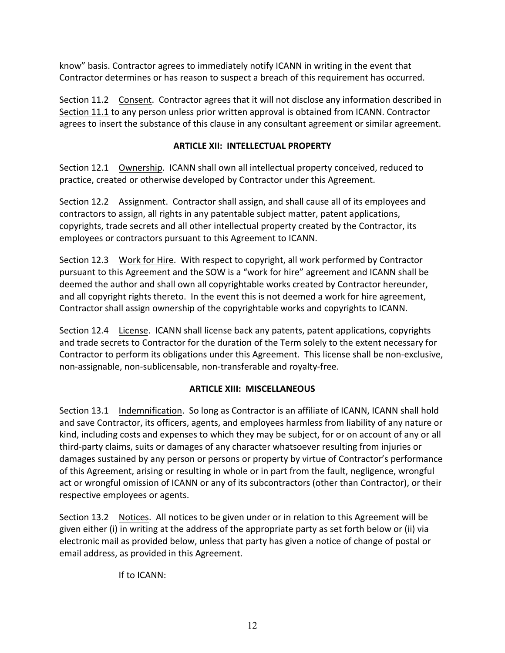know" basis. Contractor agrees to immediately notify ICANN in writing in the event that Contractor determines or has reason to suspect a breach of this requirement has occurred.

Section 11.2 Consent. Contractor agrees that it will not disclose any information described in Section 11.1 to any person unless prior written approval is obtained from ICANN. Contractor agrees to insert the substance of this clause in any consultant agreement or similar agreement.

# **ARTICLE XII: INTELLECTUAL PROPERTY**

Section 12.1 Ownership. ICANN shall own all intellectual property conceived, reduced to practice, created or otherwise developed by Contractor under this Agreement.

Section 12.2 Assignment. Contractor shall assign, and shall cause all of its employees and contractors to assign, all rights in any patentable subject matter, patent applications, copyrights, trade secrets and all other intellectual property created by the Contractor, its employees or contractors pursuant to this Agreement to ICANN.

Section 12.3 Work for Hire. With respect to copyright, all work performed by Contractor pursuant to this Agreement and the SOW is a "work for hire" agreement and ICANN shall be deemed the author and shall own all copyrightable works created by Contractor hereunder, and all copyright rights thereto. In the event this is not deemed a work for hire agreement, Contractor shall assign ownership of the copyrightable works and copyrights to ICANN.

Section 12.4 License. ICANN shall license back any patents, patent applications, copyrights and trade secrets to Contractor for the duration of the Term solely to the extent necessary for Contractor to perform its obligations under this Agreement. This license shall be non-exclusive, non-assignable, non-sublicensable, non-transferable and royalty-free.

# **ARTICLE XIII: MISCELLANEOUS**

Section 13.1 Indemnification. So long as Contractor is an affiliate of ICANN, ICANN shall hold and save Contractor, its officers, agents, and employees harmless from liability of any nature or kind, including costs and expenses to which they may be subject, for or on account of any or all third-party claims, suits or damages of any character whatsoever resulting from injuries or damages sustained by any person or persons or property by virtue of Contractor's performance of this Agreement, arising or resulting in whole or in part from the fault, negligence, wrongful act or wrongful omission of ICANN or any of its subcontractors (other than Contractor), or their respective employees or agents.

Section 13.2 Notices. All notices to be given under or in relation to this Agreement will be given either (i) in writing at the address of the appropriate party as set forth below or (ii) via electronic mail as provided below, unless that party has given a notice of change of postal or email address, as provided in this Agreement.

If to ICANN: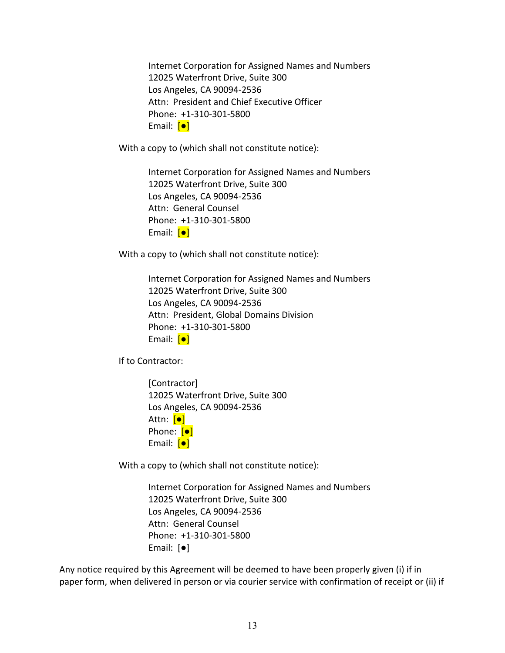Internet Corporation for Assigned Names and Numbers 12025 Waterfront Drive, Suite 300 Los Angeles, CA 90094-2536 Attn: President and Chief Executive Officer Phone: +1-310-301-5800 Email: [●]

With a copy to (which shall not constitute notice):

Internet Corporation for Assigned Names and Numbers 12025 Waterfront Drive, Suite 300 Los Angeles, CA 90094-2536 Attn: General Counsel Phone: +1-310-301-5800 Email: **[•]** 

With a copy to (which shall not constitute notice):

Internet Corporation for Assigned Names and Numbers 12025 Waterfront Drive, Suite 300 Los Angeles, CA 90094-2536 Attn: President, Global Domains Division Phone: +1-310-301-5800 Email: **[●]** 

If to Contractor:

[Contractor] 12025 Waterfront Drive, Suite 300 Los Angeles, CA 90094-2536 Attn: <mark>[●]</mark> Phone: [●] Email: [●]

With a copy to (which shall not constitute notice):

Internet Corporation for Assigned Names and Numbers 12025 Waterfront Drive, Suite 300 Los Angeles, CA 90094-2536 Attn: General Counsel Phone: +1-310-301-5800 Email:  $\lceil \bullet \rceil$ 

Any notice required by this Agreement will be deemed to have been properly given (i) if in paper form, when delivered in person or via courier service with confirmation of receipt or (ii) if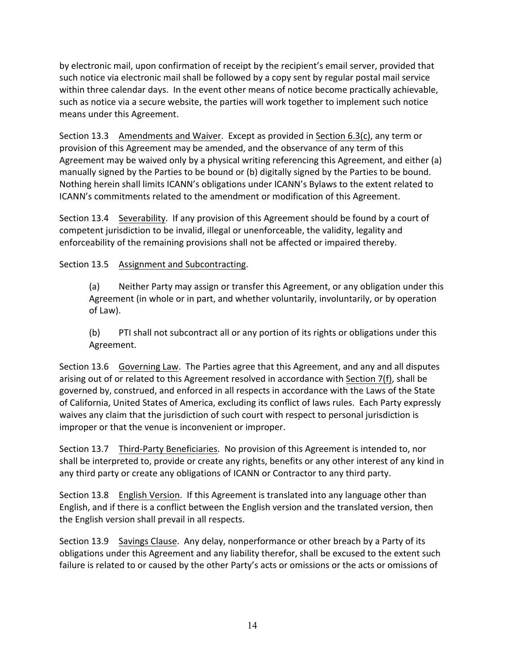by electronic mail, upon confirmation of receipt by the recipient's email server, provided that such notice via electronic mail shall be followed by a copy sent by regular postal mail service within three calendar days. In the event other means of notice become practically achievable, such as notice via a secure website, the parties will work together to implement such notice means under this Agreement.

Section 13.3 Amendments and Waiver. Except as provided in Section 6.3(c), any term or provision of this Agreement may be amended, and the observance of any term of this Agreement may be waived only by a physical writing referencing this Agreement, and either (a) manually signed by the Parties to be bound or (b) digitally signed by the Parties to be bound. Nothing herein shall limits ICANN's obligations under ICANN's Bylaws to the extent related to ICANN's commitments related to the amendment or modification of this Agreement.

Section 13.4 Severability. If any provision of this Agreement should be found by a court of competent jurisdiction to be invalid, illegal or unenforceable, the validity, legality and enforceability of the remaining provisions shall not be affected or impaired thereby.

# Section 13.5 Assignment and Subcontracting.

(a) Neither Party may assign or transfer this Agreement, or any obligation under this Agreement (in whole or in part, and whether voluntarily, involuntarily, or by operation of Law).

(b) PTI shall not subcontract all or any portion of its rights or obligations under this Agreement.

Section 13.6 Governing Law. The Parties agree that this Agreement, and any and all disputes arising out of or related to this Agreement resolved in accordance with Section 7(f), shall be governed by, construed, and enforced in all respects in accordance with the Laws of the State of California, United States of America, excluding its conflict of laws rules. Each Party expressly waives any claim that the jurisdiction of such court with respect to personal jurisdiction is improper or that the venue is inconvenient or improper.

Section 13.7 Third-Party Beneficiaries. No provision of this Agreement is intended to, nor shall be interpreted to, provide or create any rights, benefits or any other interest of any kind in any third party or create any obligations of ICANN or Contractor to any third party.

Section 13.8 English Version. If this Agreement is translated into any language other than English, and if there is a conflict between the English version and the translated version, then the English version shall prevail in all respects.

Section 13.9 Savings Clause. Any delay, nonperformance or other breach by a Party of its obligations under this Agreement and any liability therefor, shall be excused to the extent such failure is related to or caused by the other Party's acts or omissions or the acts or omissions of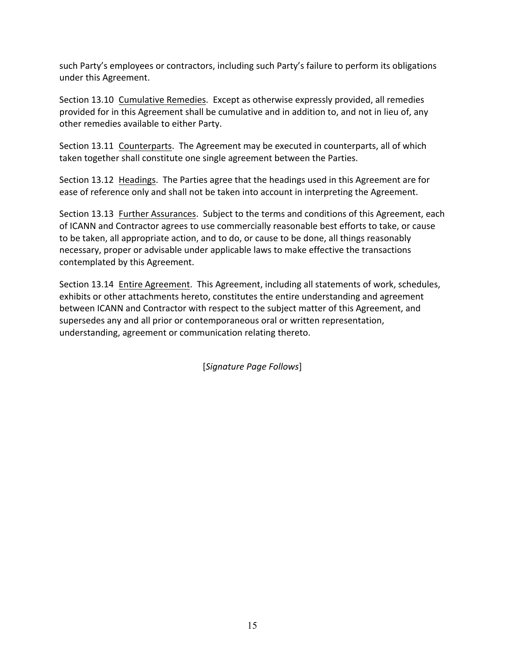such Party's employees or contractors, including such Party's failure to perform its obligations under this Agreement.

Section 13.10 Cumulative Remedies. Except as otherwise expressly provided, all remedies provided for in this Agreement shall be cumulative and in addition to, and not in lieu of, any other remedies available to either Party.

Section 13.11 Counterparts. The Agreement may be executed in counterparts, all of which taken together shall constitute one single agreement between the Parties.

Section 13.12 Headings. The Parties agree that the headings used in this Agreement are for ease of reference only and shall not be taken into account in interpreting the Agreement.

Section 13.13 Further Assurances. Subject to the terms and conditions of this Agreement, each of ICANN and Contractor agrees to use commercially reasonable best efforts to take, or cause to be taken, all appropriate action, and to do, or cause to be done, all things reasonably necessary, proper or advisable under applicable laws to make effective the transactions contemplated by this Agreement.

Section 13.14 Entire Agreement. This Agreement, including all statements of work, schedules, exhibits or other attachments hereto, constitutes the entire understanding and agreement between ICANN and Contractor with respect to the subject matter of this Agreement, and supersedes any and all prior or contemporaneous oral or written representation, understanding, agreement or communication relating thereto.

[*Signature Page Follows*]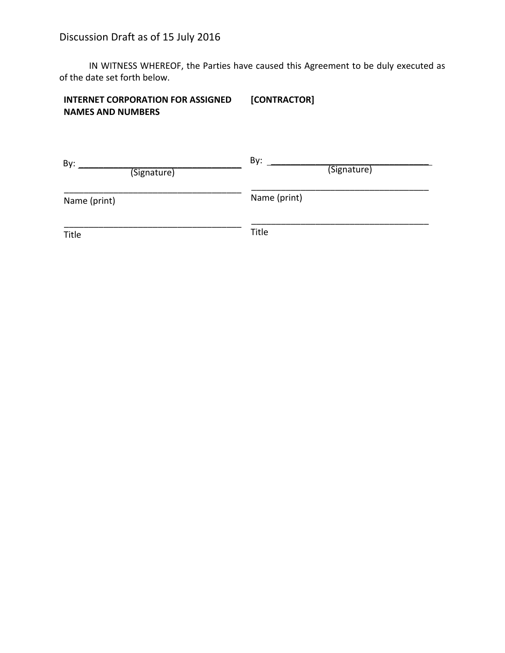IN WITNESS WHEREOF, the Parties have caused this Agreement to be duly executed as of the date set forth below.

#### **INTERNET CORPORATION FOR ASSIGNED NAMES AND NUMBERS [CONTRACTOR]**

| By:<br>(Signature) | By:<br>(Signature) |
|--------------------|--------------------|
| Name (print)       | Name (print)       |
| Title              | Title              |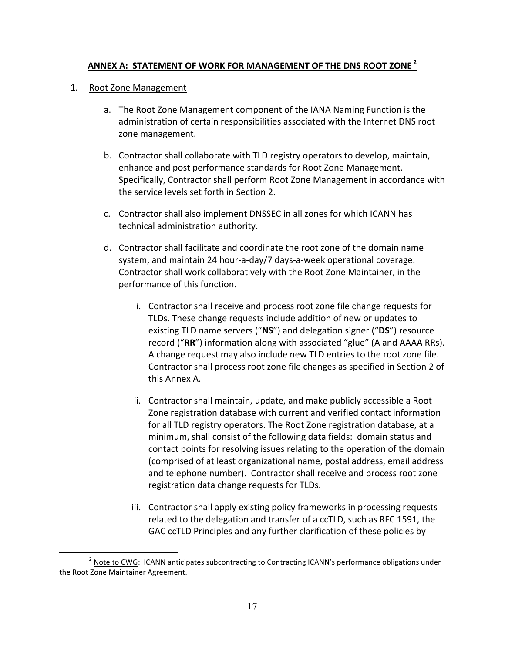#### ANNEX A: STATEMENT OF WORK FOR MANAGEMENT OF THE DNS ROOT ZONE<sup>2</sup>

#### 1. Root Zone Management

- a. The Root Zone Management component of the IANA Naming Function is the administration of certain responsibilities associated with the Internet DNS root zone management.
- b. Contractor shall collaborate with TLD registry operators to develop, maintain, enhance and post performance standards for Root Zone Management. Specifically, Contractor shall perform Root Zone Management in accordance with the service levels set forth in Section 2.
- c. Contractor shall also implement DNSSEC in all zones for which ICANN has technical administration authority.
- d. Contractor shall facilitate and coordinate the root zone of the domain name system, and maintain 24 hour-a-day/7 days-a-week operational coverage. Contractor shall work collaboratively with the Root Zone Maintainer, in the performance of this function.
	- i. Contractor shall receive and process root zone file change requests for TLDs. These change requests include addition of new or updates to existing TLD name servers ("NS") and delegation signer ("DS") resource record ("RR") information along with associated "glue" (A and AAAA RRs). A change request may also include new TLD entries to the root zone file. Contractor shall process root zone file changes as specified in Section 2 of this Annex A.
	- ii. Contractor shall maintain, update, and make publicly accessible a Root Zone registration database with current and verified contact information for all TLD registry operators. The Root Zone registration database, at a minimum, shall consist of the following data fields: domain status and contact points for resolving issues relating to the operation of the domain (comprised of at least organizational name, postal address, email address and telephone number). Contractor shall receive and process root zone registration data change requests for TLDs.
	- iii. Contractor shall apply existing policy frameworks in processing requests related to the delegation and transfer of a ccTLD, such as RFC 1591, the GAC ccTLD Principles and any further clarification of these policies by

<sup>&</sup>lt;sup>2</sup> Note to CWG: ICANN anticipates subcontracting to Contracting ICANN's performance obligations under the Root Zone Maintainer Agreement.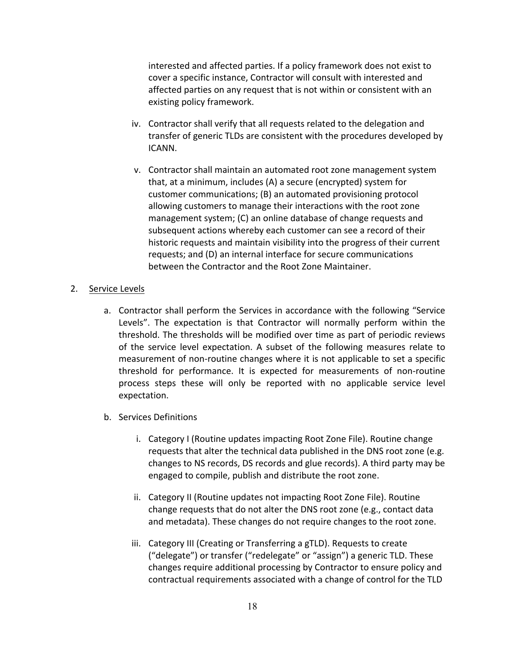interested and affected parties. If a policy framework does not exist to cover a specific instance, Contractor will consult with interested and affected parties on any request that is not within or consistent with an existing policy framework.

- iv. Contractor shall verify that all requests related to the delegation and transfer of generic TLDs are consistent with the procedures developed by ICANN.
- v. Contractor shall maintain an automated root zone management system that, at a minimum, includes (A) a secure (encrypted) system for customer communications; (B) an automated provisioning protocol allowing customers to manage their interactions with the root zone management system; (C) an online database of change requests and subsequent actions whereby each customer can see a record of their historic requests and maintain visibility into the progress of their current requests; and (D) an internal interface for secure communications between the Contractor and the Root Zone Maintainer.

#### 2. Service Levels

- a. Contractor shall perform the Services in accordance with the following "Service Levels". The expectation is that Contractor will normally perform within the threshold. The thresholds will be modified over time as part of periodic reviews of the service level expectation. A subset of the following measures relate to measurement of non-routine changes where it is not applicable to set a specific threshold for performance. It is expected for measurements of non-routine process steps these will only be reported with no applicable service level expectation.
- b. Services Definitions
	- i. Category I (Routine updates impacting Root Zone File). Routine change requests that alter the technical data published in the DNS root zone (e.g. changes to NS records, DS records and glue records). A third party may be engaged to compile, publish and distribute the root zone.
	- ii. Category II (Routine updates not impacting Root Zone File). Routine change requests that do not alter the DNS root zone (e.g., contact data and metadata). These changes do not require changes to the root zone.
	- iii. Category III (Creating or Transferring a gTLD). Requests to create ("delegate") or transfer ("redelegate" or "assign") a generic TLD. These changes require additional processing by Contractor to ensure policy and contractual requirements associated with a change of control for the TLD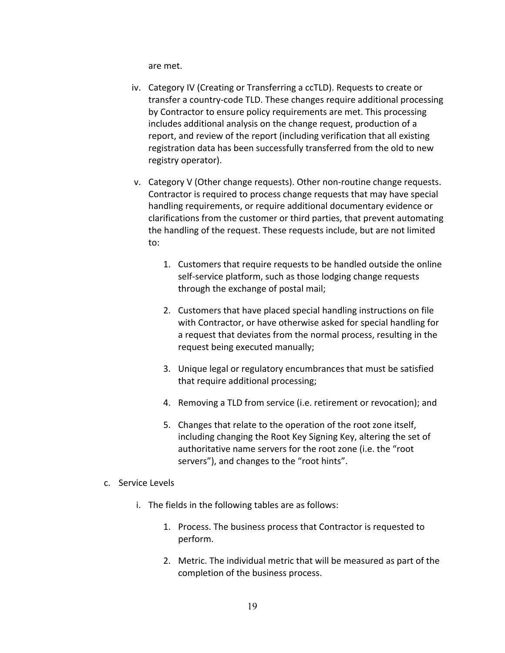are met.

- iv. Category IV (Creating or Transferring a ccTLD). Requests to create or transfer a country-code TLD. These changes require additional processing by Contractor to ensure policy requirements are met. This processing includes additional analysis on the change request, production of a report, and review of the report (including verification that all existing registration data has been successfully transferred from the old to new registry operator).
- v. Category V (Other change requests). Other non-routine change requests. Contractor is required to process change requests that may have special handling requirements, or require additional documentary evidence or clarifications from the customer or third parties, that prevent automating the handling of the request. These requests include, but are not limited to:
	- 1. Customers that require requests to be handled outside the online self-service platform, such as those lodging change requests through the exchange of postal mail;
	- 2. Customers that have placed special handling instructions on file with Contractor, or have otherwise asked for special handling for a request that deviates from the normal process, resulting in the request being executed manually;
	- 3. Unique legal or regulatory encumbrances that must be satisfied that require additional processing;
	- 4. Removing a TLD from service (i.e. retirement or revocation); and
	- 5. Changes that relate to the operation of the root zone itself, including changing the Root Key Signing Key, altering the set of authoritative name servers for the root zone (i.e. the "root servers"), and changes to the "root hints".
- c. Service Levels
	- i. The fields in the following tables are as follows:
		- 1. Process. The business process that Contractor is requested to perform.
		- 2. Metric. The individual metric that will be measured as part of the completion of the business process.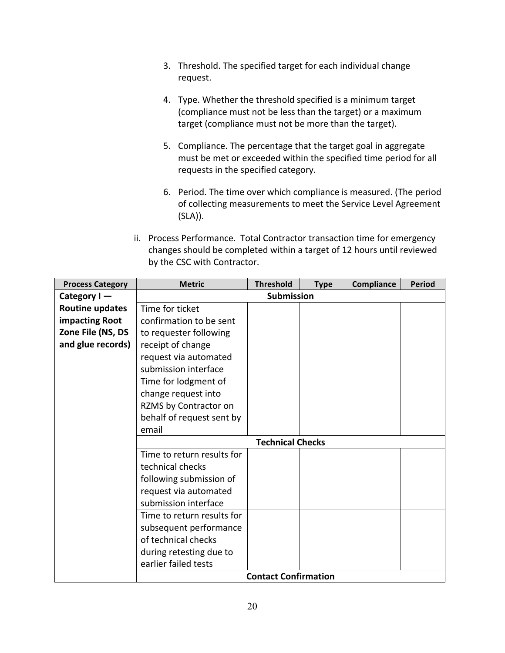- 3. Threshold. The specified target for each individual change request.
- 4. Type. Whether the threshold specified is a minimum target (compliance must not be less than the target) or a maximum target (compliance must not be more than the target).
- 5. Compliance. The percentage that the target goal in aggregate must be met or exceeded within the specified time period for all requests in the specified category.
- 6. Period. The time over which compliance is measured. (The period of collecting measurements to meet the Service Level Agreement (SLA)).
- ii. Process Performance. Total Contractor transaction time for emergency changes should be completed within a target of 12 hours until reviewed by the CSC with Contractor.

| <b>Process Category</b> | <b>Metric</b>              | <b>Threshold</b>            | <b>Type</b> | Compliance | <b>Period</b> |
|-------------------------|----------------------------|-----------------------------|-------------|------------|---------------|
| Category $I -$          |                            | <b>Submission</b>           |             |            |               |
| <b>Routine updates</b>  | Time for ticket            |                             |             |            |               |
| impacting Root          | confirmation to be sent    |                             |             |            |               |
| Zone File (NS, DS       | to requester following     |                             |             |            |               |
| and glue records)       | receipt of change          |                             |             |            |               |
|                         | request via automated      |                             |             |            |               |
|                         | submission interface       |                             |             |            |               |
|                         | Time for lodgment of       |                             |             |            |               |
|                         | change request into        |                             |             |            |               |
|                         | RZMS by Contractor on      |                             |             |            |               |
|                         | behalf of request sent by  |                             |             |            |               |
|                         | email                      |                             |             |            |               |
|                         |                            | <b>Technical Checks</b>     |             |            |               |
|                         | Time to return results for |                             |             |            |               |
|                         | technical checks           |                             |             |            |               |
|                         | following submission of    |                             |             |            |               |
|                         | request via automated      |                             |             |            |               |
|                         | submission interface       |                             |             |            |               |
|                         | Time to return results for |                             |             |            |               |
|                         | subsequent performance     |                             |             |            |               |
|                         | of technical checks        |                             |             |            |               |
|                         | during retesting due to    |                             |             |            |               |
|                         | earlier failed tests       |                             |             |            |               |
|                         |                            | <b>Contact Confirmation</b> |             |            |               |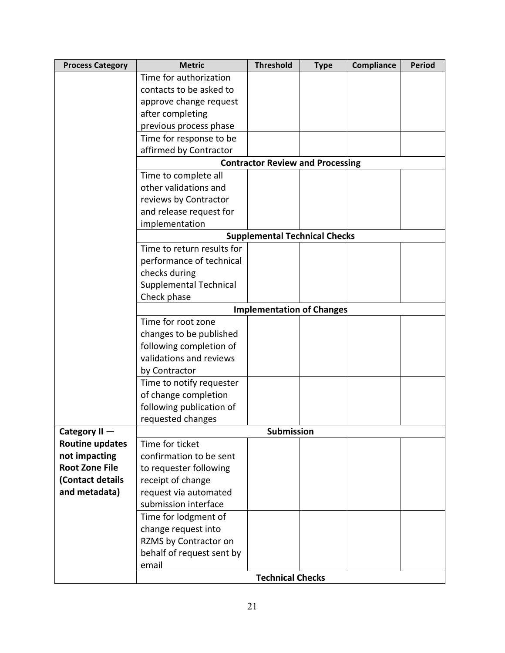| <b>Process Category</b>              | <b>Metric</b>                    | <b>Threshold</b>                        | <b>Type</b> | <b>Compliance</b> | <b>Period</b> |
|--------------------------------------|----------------------------------|-----------------------------------------|-------------|-------------------|---------------|
|                                      | Time for authorization           |                                         |             |                   |               |
|                                      | contacts to be asked to          |                                         |             |                   |               |
|                                      | approve change request           |                                         |             |                   |               |
|                                      | after completing                 |                                         |             |                   |               |
|                                      | previous process phase           |                                         |             |                   |               |
|                                      | Time for response to be          |                                         |             |                   |               |
|                                      | affirmed by Contractor           |                                         |             |                   |               |
|                                      |                                  | <b>Contractor Review and Processing</b> |             |                   |               |
|                                      | Time to complete all             |                                         |             |                   |               |
|                                      | other validations and            |                                         |             |                   |               |
|                                      | reviews by Contractor            |                                         |             |                   |               |
|                                      | and release request for          |                                         |             |                   |               |
|                                      | implementation                   |                                         |             |                   |               |
| <b>Supplemental Technical Checks</b> |                                  |                                         |             |                   |               |
|                                      | Time to return results for       |                                         |             |                   |               |
|                                      | performance of technical         |                                         |             |                   |               |
|                                      | checks during                    |                                         |             |                   |               |
|                                      | <b>Supplemental Technical</b>    |                                         |             |                   |               |
|                                      | Check phase                      |                                         |             |                   |               |
|                                      | <b>Implementation of Changes</b> |                                         |             |                   |               |
|                                      | Time for root zone               |                                         |             |                   |               |
|                                      | changes to be published          |                                         |             |                   |               |
|                                      | following completion of          |                                         |             |                   |               |
|                                      | validations and reviews          |                                         |             |                   |               |
|                                      | by Contractor                    |                                         |             |                   |               |
|                                      | Time to notify requester         |                                         |             |                   |               |
|                                      | of change completion             |                                         |             |                   |               |
|                                      | following publication of         |                                         |             |                   |               |
|                                      | requested changes                |                                         |             |                   |               |
| Category II -                        |                                  | <b>Submission</b>                       |             |                   |               |
| <b>Routine updates</b>               | Time for ticket                  |                                         |             |                   |               |
| not impacting                        | confirmation to be sent          |                                         |             |                   |               |
| <b>Root Zone File</b>                | to requester following           |                                         |             |                   |               |
| (Contact details                     | receipt of change                |                                         |             |                   |               |
| and metadata)                        | request via automated            |                                         |             |                   |               |
|                                      | submission interface             |                                         |             |                   |               |
|                                      | Time for lodgment of             |                                         |             |                   |               |
|                                      | change request into              |                                         |             |                   |               |
|                                      | RZMS by Contractor on            |                                         |             |                   |               |
|                                      | behalf of request sent by        |                                         |             |                   |               |
|                                      | email                            |                                         |             |                   |               |
|                                      |                                  | <b>Technical Checks</b>                 |             |                   |               |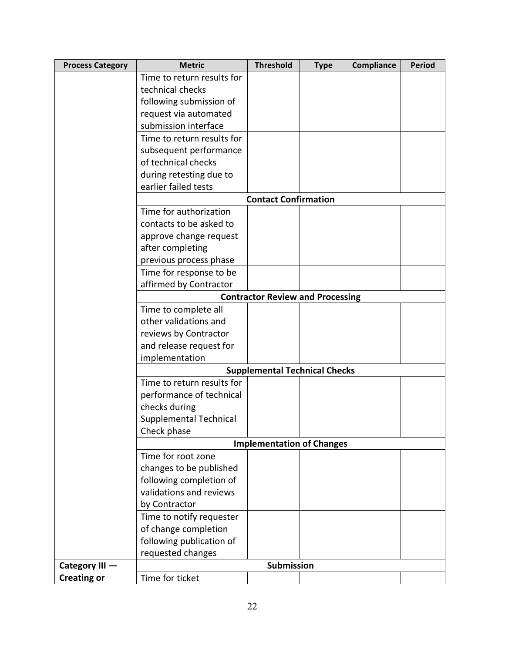| <b>Process Category</b> | <b>Metric</b>                           | <b>Threshold</b>                     | <b>Type</b> | Compliance | <b>Period</b> |
|-------------------------|-----------------------------------------|--------------------------------------|-------------|------------|---------------|
|                         | Time to return results for              |                                      |             |            |               |
|                         | technical checks                        |                                      |             |            |               |
|                         | following submission of                 |                                      |             |            |               |
|                         | request via automated                   |                                      |             |            |               |
|                         | submission interface                    |                                      |             |            |               |
|                         | Time to return results for              |                                      |             |            |               |
|                         | subsequent performance                  |                                      |             |            |               |
|                         | of technical checks                     |                                      |             |            |               |
|                         | during retesting due to                 |                                      |             |            |               |
|                         | earlier failed tests                    |                                      |             |            |               |
|                         |                                         | <b>Contact Confirmation</b>          |             |            |               |
|                         | Time for authorization                  |                                      |             |            |               |
|                         | contacts to be asked to                 |                                      |             |            |               |
|                         | approve change request                  |                                      |             |            |               |
|                         | after completing                        |                                      |             |            |               |
|                         | previous process phase                  |                                      |             |            |               |
|                         | Time for response to be                 |                                      |             |            |               |
|                         | affirmed by Contractor                  |                                      |             |            |               |
|                         | <b>Contractor Review and Processing</b> |                                      |             |            |               |
|                         | Time to complete all                    |                                      |             |            |               |
|                         | other validations and                   |                                      |             |            |               |
|                         | reviews by Contractor                   |                                      |             |            |               |
|                         | and release request for                 |                                      |             |            |               |
|                         | implementation                          |                                      |             |            |               |
|                         |                                         | <b>Supplemental Technical Checks</b> |             |            |               |
|                         | Time to return results for              |                                      |             |            |               |
|                         | performance of technical                |                                      |             |            |               |
|                         | checks during                           |                                      |             |            |               |
|                         | <b>Supplemental Technical</b>           |                                      |             |            |               |
|                         | Check phase                             |                                      |             |            |               |
|                         |                                         | <b>Implementation of Changes</b>     |             |            |               |
|                         | Time for root zone                      |                                      |             |            |               |
|                         | changes to be published                 |                                      |             |            |               |
|                         | following completion of                 |                                      |             |            |               |
|                         | validations and reviews                 |                                      |             |            |               |
|                         | by Contractor                           |                                      |             |            |               |
|                         | Time to notify requester                |                                      |             |            |               |
|                         | of change completion                    |                                      |             |            |               |
|                         | following publication of                |                                      |             |            |               |
|                         | requested changes                       |                                      |             |            |               |
| Category III -          |                                         | Submission                           |             |            |               |
| <b>Creating or</b>      | Time for ticket                         |                                      |             |            |               |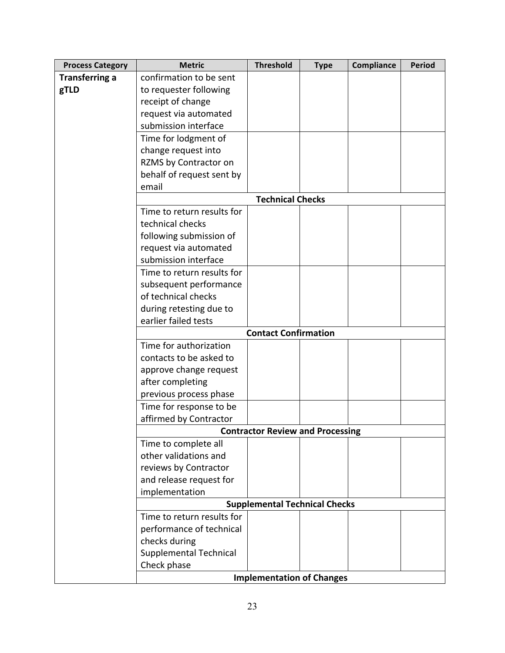| <b>Process Category</b> | <b>Metric</b>                 | <b>Threshold</b>                        | <b>Type</b> | Compliance | <b>Period</b> |
|-------------------------|-------------------------------|-----------------------------------------|-------------|------------|---------------|
| <b>Transferring a</b>   | confirmation to be sent       |                                         |             |            |               |
| gTLD                    | to requester following        |                                         |             |            |               |
|                         | receipt of change             |                                         |             |            |               |
|                         | request via automated         |                                         |             |            |               |
|                         | submission interface          |                                         |             |            |               |
|                         | Time for lodgment of          |                                         |             |            |               |
|                         | change request into           |                                         |             |            |               |
|                         | RZMS by Contractor on         |                                         |             |            |               |
|                         | behalf of request sent by     |                                         |             |            |               |
|                         | email                         |                                         |             |            |               |
|                         |                               | <b>Technical Checks</b>                 |             |            |               |
|                         | Time to return results for    |                                         |             |            |               |
|                         | technical checks              |                                         |             |            |               |
|                         | following submission of       |                                         |             |            |               |
|                         | request via automated         |                                         |             |            |               |
|                         | submission interface          |                                         |             |            |               |
|                         | Time to return results for    |                                         |             |            |               |
|                         | subsequent performance        |                                         |             |            |               |
|                         | of technical checks           |                                         |             |            |               |
|                         | during retesting due to       |                                         |             |            |               |
|                         | earlier failed tests          |                                         |             |            |               |
|                         | <b>Contact Confirmation</b>   |                                         |             |            |               |
|                         | Time for authorization        |                                         |             |            |               |
|                         | contacts to be asked to       |                                         |             |            |               |
|                         | approve change request        |                                         |             |            |               |
|                         | after completing              |                                         |             |            |               |
|                         | previous process phase        |                                         |             |            |               |
|                         | Time for response to be       |                                         |             |            |               |
|                         | affirmed by Contractor        |                                         |             |            |               |
|                         |                               | <b>Contractor Review and Processing</b> |             |            |               |
|                         | Time to complete all          |                                         |             |            |               |
|                         | other validations and         |                                         |             |            |               |
|                         | reviews by Contractor         |                                         |             |            |               |
|                         | and release request for       |                                         |             |            |               |
|                         | implementation                |                                         |             |            |               |
|                         |                               | <b>Supplemental Technical Checks</b>    |             |            |               |
|                         | Time to return results for    |                                         |             |            |               |
|                         | performance of technical      |                                         |             |            |               |
|                         | checks during                 |                                         |             |            |               |
|                         | <b>Supplemental Technical</b> |                                         |             |            |               |
|                         | Check phase                   |                                         |             |            |               |
|                         |                               | <b>Implementation of Changes</b>        |             |            |               |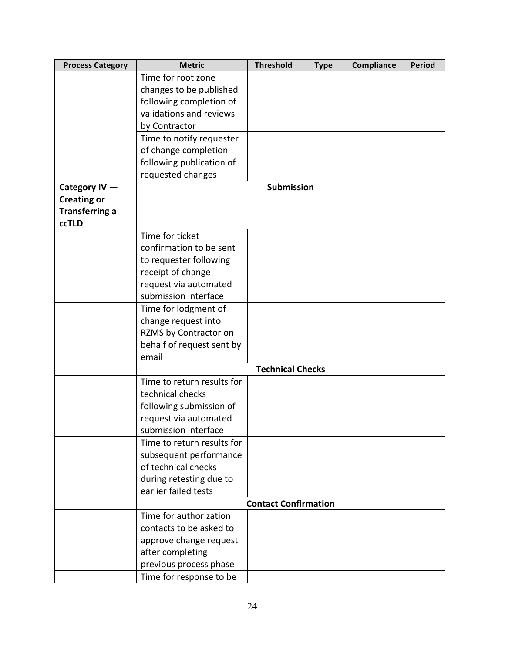| <b>Process Category</b> | <b>Metric</b>              | <b>Threshold</b>            | <b>Type</b> | Compliance | <b>Period</b> |
|-------------------------|----------------------------|-----------------------------|-------------|------------|---------------|
|                         | Time for root zone         |                             |             |            |               |
|                         | changes to be published    |                             |             |            |               |
|                         | following completion of    |                             |             |            |               |
|                         | validations and reviews    |                             |             |            |               |
|                         | by Contractor              |                             |             |            |               |
|                         | Time to notify requester   |                             |             |            |               |
|                         | of change completion       |                             |             |            |               |
|                         | following publication of   |                             |             |            |               |
|                         | requested changes          |                             |             |            |               |
| Category IV -           |                            | <b>Submission</b>           |             |            |               |
| <b>Creating or</b>      |                            |                             |             |            |               |
| <b>Transferring a</b>   |                            |                             |             |            |               |
| <b>ccTLD</b>            |                            |                             |             |            |               |
|                         | Time for ticket            |                             |             |            |               |
|                         | confirmation to be sent    |                             |             |            |               |
|                         | to requester following     |                             |             |            |               |
|                         | receipt of change          |                             |             |            |               |
|                         |                            |                             |             |            |               |
|                         | request via automated      |                             |             |            |               |
|                         | submission interface       |                             |             |            |               |
|                         | Time for lodgment of       |                             |             |            |               |
|                         | change request into        |                             |             |            |               |
|                         | RZMS by Contractor on      |                             |             |            |               |
|                         | behalf of request sent by  |                             |             |            |               |
|                         | email                      |                             |             |            |               |
|                         |                            | <b>Technical Checks</b>     |             |            |               |
|                         | Time to return results for |                             |             |            |               |
|                         | technical checks           |                             |             |            |               |
|                         | following submission of    |                             |             |            |               |
|                         | request via automated      |                             |             |            |               |
|                         | submission interface       |                             |             |            |               |
|                         | Time to return results for |                             |             |            |               |
|                         | subsequent performance     |                             |             |            |               |
|                         | of technical checks        |                             |             |            |               |
|                         | during retesting due to    |                             |             |            |               |
|                         | earlier failed tests       |                             |             |            |               |
|                         |                            | <b>Contact Confirmation</b> |             |            |               |
|                         | Time for authorization     |                             |             |            |               |
|                         | contacts to be asked to    |                             |             |            |               |
|                         | approve change request     |                             |             |            |               |
|                         | after completing           |                             |             |            |               |
|                         | previous process phase     |                             |             |            |               |
|                         | Time for response to be    |                             |             |            |               |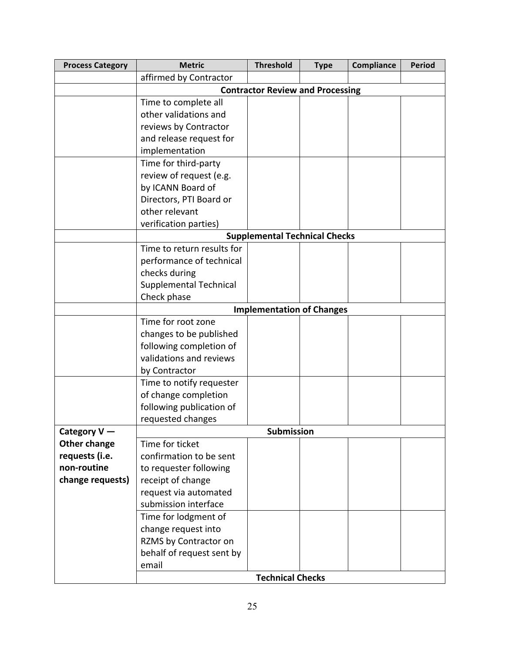| <b>Process Category</b> | <b>Metric</b>                    | <b>Threshold</b>                        | <b>Type</b> | <b>Compliance</b> | <b>Period</b> |  |
|-------------------------|----------------------------------|-----------------------------------------|-------------|-------------------|---------------|--|
|                         | affirmed by Contractor           |                                         |             |                   |               |  |
|                         |                                  | <b>Contractor Review and Processing</b> |             |                   |               |  |
|                         | Time to complete all             |                                         |             |                   |               |  |
|                         | other validations and            |                                         |             |                   |               |  |
|                         | reviews by Contractor            |                                         |             |                   |               |  |
|                         | and release request for          |                                         |             |                   |               |  |
|                         | implementation                   |                                         |             |                   |               |  |
|                         | Time for third-party             |                                         |             |                   |               |  |
|                         | review of request (e.g.          |                                         |             |                   |               |  |
|                         | by ICANN Board of                |                                         |             |                   |               |  |
|                         | Directors, PTI Board or          |                                         |             |                   |               |  |
|                         | other relevant                   |                                         |             |                   |               |  |
|                         | verification parties)            |                                         |             |                   |               |  |
|                         |                                  | <b>Supplemental Technical Checks</b>    |             |                   |               |  |
|                         | Time to return results for       |                                         |             |                   |               |  |
|                         | performance of technical         |                                         |             |                   |               |  |
|                         | checks during                    |                                         |             |                   |               |  |
|                         | <b>Supplemental Technical</b>    |                                         |             |                   |               |  |
|                         | Check phase                      |                                         |             |                   |               |  |
|                         | <b>Implementation of Changes</b> |                                         |             |                   |               |  |
|                         | Time for root zone               |                                         |             |                   |               |  |
|                         | changes to be published          |                                         |             |                   |               |  |
|                         | following completion of          |                                         |             |                   |               |  |
|                         | validations and reviews          |                                         |             |                   |               |  |
|                         | by Contractor                    |                                         |             |                   |               |  |
|                         | Time to notify requester         |                                         |             |                   |               |  |
|                         | of change completion             |                                         |             |                   |               |  |
|                         | following publication of         |                                         |             |                   |               |  |
|                         | requested changes                |                                         |             |                   |               |  |
| Category V -            |                                  | <b>Submission</b>                       |             |                   |               |  |
| <b>Other change</b>     | Time for ticket                  |                                         |             |                   |               |  |
| requests (i.e.          | confirmation to be sent          |                                         |             |                   |               |  |
| non-routine             | to requester following           |                                         |             |                   |               |  |
| change requests)        | receipt of change                |                                         |             |                   |               |  |
|                         | request via automated            |                                         |             |                   |               |  |
|                         | submission interface             |                                         |             |                   |               |  |
|                         | Time for lodgment of             |                                         |             |                   |               |  |
|                         | change request into              |                                         |             |                   |               |  |
|                         | RZMS by Contractor on            |                                         |             |                   |               |  |
|                         | behalf of request sent by        |                                         |             |                   |               |  |
|                         | email                            |                                         |             |                   |               |  |
|                         |                                  | <b>Technical Checks</b>                 |             |                   |               |  |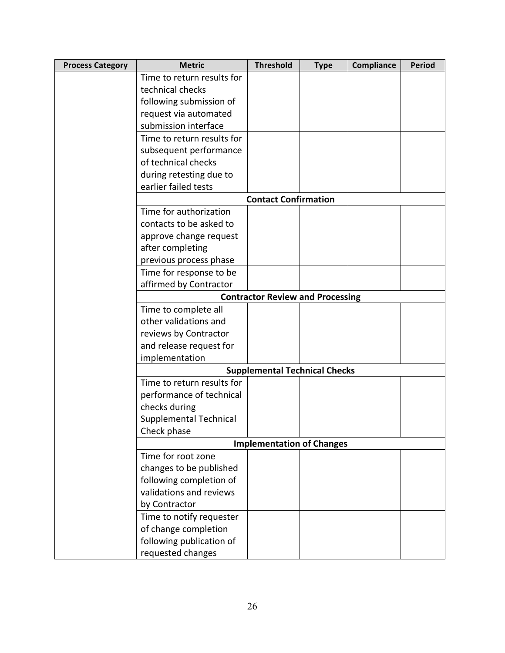| <b>Process Category</b> | <b>Metric</b>                           | <b>Threshold</b>                     | <b>Type</b> | <b>Compliance</b> | <b>Period</b> |
|-------------------------|-----------------------------------------|--------------------------------------|-------------|-------------------|---------------|
|                         | Time to return results for              |                                      |             |                   |               |
|                         | technical checks                        |                                      |             |                   |               |
|                         | following submission of                 |                                      |             |                   |               |
|                         | request via automated                   |                                      |             |                   |               |
|                         | submission interface                    |                                      |             |                   |               |
|                         | Time to return results for              |                                      |             |                   |               |
|                         | subsequent performance                  |                                      |             |                   |               |
|                         | of technical checks                     |                                      |             |                   |               |
|                         | during retesting due to                 |                                      |             |                   |               |
|                         | earlier failed tests                    |                                      |             |                   |               |
|                         |                                         | <b>Contact Confirmation</b>          |             |                   |               |
|                         | Time for authorization                  |                                      |             |                   |               |
|                         | contacts to be asked to                 |                                      |             |                   |               |
|                         | approve change request                  |                                      |             |                   |               |
|                         | after completing                        |                                      |             |                   |               |
|                         | previous process phase                  |                                      |             |                   |               |
|                         | Time for response to be                 |                                      |             |                   |               |
|                         | affirmed by Contractor                  |                                      |             |                   |               |
|                         | <b>Contractor Review and Processing</b> |                                      |             |                   |               |
|                         | Time to complete all                    |                                      |             |                   |               |
|                         | other validations and                   |                                      |             |                   |               |
|                         | reviews by Contractor                   |                                      |             |                   |               |
|                         | and release request for                 |                                      |             |                   |               |
|                         | implementation                          |                                      |             |                   |               |
|                         |                                         | <b>Supplemental Technical Checks</b> |             |                   |               |
|                         | Time to return results for              |                                      |             |                   |               |
|                         | performance of technical                |                                      |             |                   |               |
|                         | checks during                           |                                      |             |                   |               |
|                         | <b>Supplemental Technical</b>           |                                      |             |                   |               |
|                         | Check phase                             |                                      |             |                   |               |
|                         |                                         | <b>Implementation of Changes</b>     |             |                   |               |
|                         | Time for root zone                      |                                      |             |                   |               |
|                         | changes to be published                 |                                      |             |                   |               |
|                         | following completion of                 |                                      |             |                   |               |
|                         | validations and reviews                 |                                      |             |                   |               |
|                         | by Contractor                           |                                      |             |                   |               |
|                         | Time to notify requester                |                                      |             |                   |               |
|                         | of change completion                    |                                      |             |                   |               |
|                         | following publication of                |                                      |             |                   |               |
|                         | requested changes                       |                                      |             |                   |               |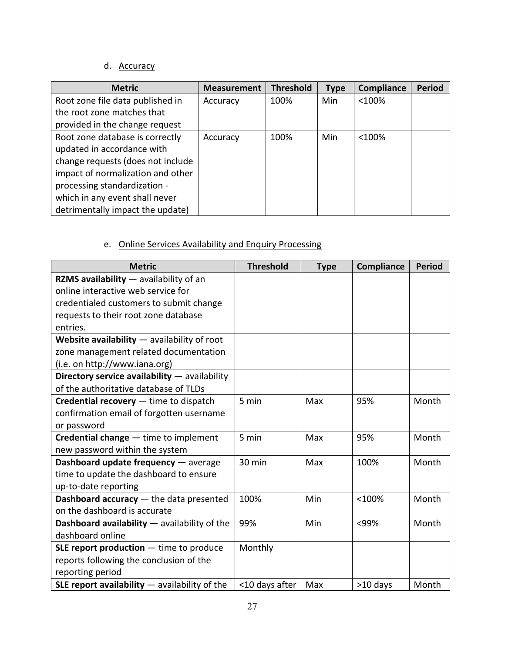# d. Accuracy

| <b>Metric</b>                     | <b>Measurement</b> | <b>Threshold</b> | <b>Type</b> | Compliance | <b>Period</b> |
|-----------------------------------|--------------------|------------------|-------------|------------|---------------|
| Root zone file data published in  | Accuracy           | 100%             | Min         | $<$ 100%   |               |
| the root zone matches that        |                    |                  |             |            |               |
| provided in the change request    |                    |                  |             |            |               |
| Root zone database is correctly   | Accuracy           | 100%             | Min         | $<$ 100%   |               |
| updated in accordance with        |                    |                  |             |            |               |
| change requests (does not include |                    |                  |             |            |               |
| impact of normalization and other |                    |                  |             |            |               |
| processing standardization -      |                    |                  |             |            |               |
| which in any event shall never    |                    |                  |             |            |               |
| detrimentally impact the update)  |                    |                  |             |            |               |

# e. Online Services Availability and Enquiry Processing

| <b>Metric</b>                                   | <b>Threshold</b> | <b>Type</b> | Compliance | <b>Period</b> |
|-------------------------------------------------|------------------|-------------|------------|---------------|
| RZMS availability $-$ availability of an        |                  |             |            |               |
| online interactive web service for              |                  |             |            |               |
| credentialed customers to submit change         |                  |             |            |               |
| requests to their root zone database            |                  |             |            |               |
| entries.                                        |                  |             |            |               |
| Website availability $-$ availability of root   |                  |             |            |               |
| zone management related documentation           |                  |             |            |               |
| (i.e. on http://www.iana.org)                   |                  |             |            |               |
| Directory service availability - availability   |                  |             |            |               |
| of the authoritative database of TLDs           |                  |             |            |               |
| <b>Credential recovery</b> $-$ time to dispatch | 5 min            | Max         | 95%        | Month         |
| confirmation email of forgotten username        |                  |             |            |               |
| or password                                     |                  |             |            |               |
| Credential change - time to implement           | 5 min            | Max         | 95%        | Month         |
| new password within the system                  |                  |             |            |               |
| Dashboard update frequency - average            | 30 min           | Max         | 100%       | Month         |
| time to update the dashboard to ensure          |                  |             |            |               |
| up-to-date reporting                            |                  |             |            |               |
| Dashboard accuracy - the data presented         | 100%             | Min         | < 100%     | Month         |
| on the dashboard is accurate                    |                  |             |            |               |
| Dashboard availability - availability of the    | 99%              | Min         | <99%       | Month         |
| dashboard online                                |                  |             |            |               |
| SLE report production $-$ time to produce       | Monthly          |             |            |               |
| reports following the conclusion of the         |                  |             |            |               |
| reporting period                                |                  |             |            |               |
| SLE report availability $-$ availability of the | <10 days after   | Max         | $>10$ days | Month         |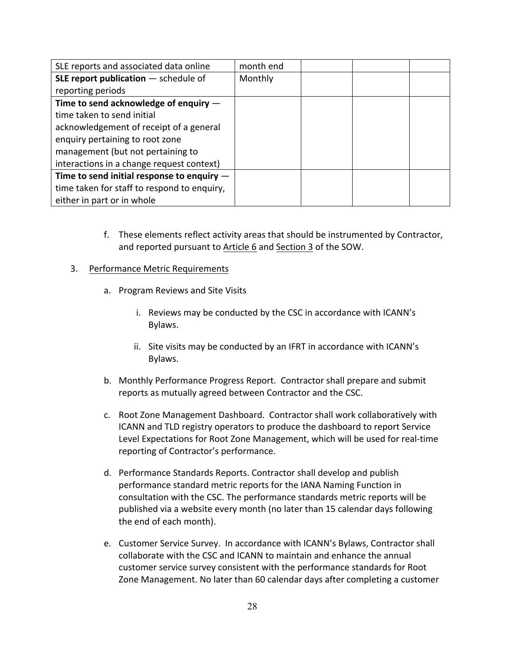| SLE reports and associated data online       | month end |  |  |
|----------------------------------------------|-----------|--|--|
| SLE report publication $-$ schedule of       | Monthly   |  |  |
| reporting periods                            |           |  |  |
| Time to send acknowledge of enquiry $-$      |           |  |  |
| time taken to send initial                   |           |  |  |
| acknowledgement of receipt of a general      |           |  |  |
| enquiry pertaining to root zone              |           |  |  |
| management (but not pertaining to            |           |  |  |
| interactions in a change request context)    |           |  |  |
| Time to send initial response to enquiry $-$ |           |  |  |
| time taken for staff to respond to enquiry,  |           |  |  |
| either in part or in whole                   |           |  |  |

f. These elements reflect activity areas that should be instrumented by Contractor, and reported pursuant to Article 6 and Section 3 of the SOW.

#### 3. Performance Metric Requirements

- a. Program Reviews and Site Visits
	- i. Reviews may be conducted by the CSC in accordance with ICANN's Bylaws.
	- ii. Site visits may be conducted by an IFRT in accordance with ICANN's Bylaws.
- b. Monthly Performance Progress Report. Contractor shall prepare and submit reports as mutually agreed between Contractor and the CSC.
- c. Root Zone Management Dashboard. Contractor shall work collaboratively with ICANN and TLD registry operators to produce the dashboard to report Service Level Expectations for Root Zone Management, which will be used for real-time reporting of Contractor's performance.
- d. Performance Standards Reports. Contractor shall develop and publish performance standard metric reports for the IANA Naming Function in consultation with the CSC. The performance standards metric reports will be published via a website every month (no later than 15 calendar days following the end of each month).
- e. Customer Service Survey. In accordance with ICANN's Bylaws, Contractor shall collaborate with the CSC and ICANN to maintain and enhance the annual customer service survey consistent with the performance standards for Root Zone Management. No later than 60 calendar days after completing a customer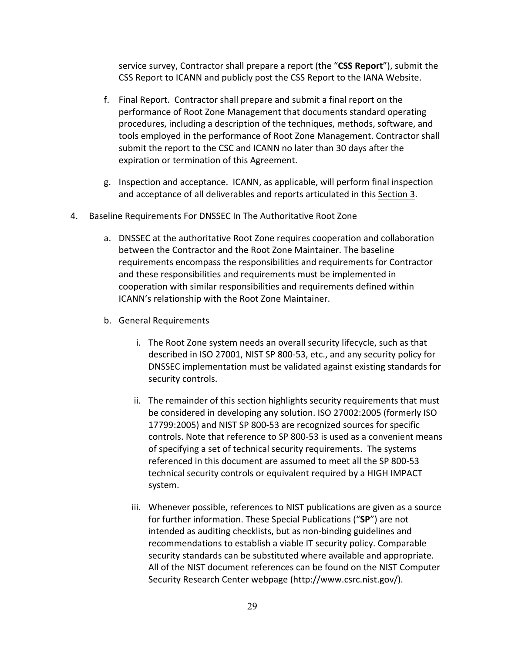service survey, Contractor shall prepare a report (the "CSS Report"), submit the CSS Report to ICANN and publicly post the CSS Report to the IANA Website.

- f. Final Report. Contractor shall prepare and submit a final report on the performance of Root Zone Management that documents standard operating procedures, including a description of the techniques, methods, software, and tools employed in the performance of Root Zone Management. Contractor shall submit the report to the CSC and ICANN no later than 30 days after the expiration or termination of this Agreement.
- g. Inspection and acceptance. ICANN, as applicable, will perform final inspection and acceptance of all deliverables and reports articulated in this Section 3.

#### 4. Baseline Requirements For DNSSEC In The Authoritative Root Zone

- a. DNSSEC at the authoritative Root Zone requires cooperation and collaboration between the Contractor and the Root Zone Maintainer. The baseline requirements encompass the responsibilities and requirements for Contractor and these responsibilities and requirements must be implemented in cooperation with similar responsibilities and requirements defined within ICANN's relationship with the Root Zone Maintainer.
- b. General Requirements
	- i. The Root Zone system needs an overall security lifecycle, such as that described in ISO 27001, NIST SP 800-53, etc., and any security policy for DNSSEC implementation must be validated against existing standards for security controls.
	- ii. The remainder of this section highlights security requirements that must be considered in developing any solution. ISO 27002:2005 (formerly ISO 17799:2005) and NIST SP 800-53 are recognized sources for specific controls. Note that reference to SP 800-53 is used as a convenient means of specifying a set of technical security requirements. The systems referenced in this document are assumed to meet all the SP 800-53 technical security controls or equivalent required by a HIGH IMPACT system.
	- iii. Whenever possible, references to NIST publications are given as a source for further information. These Special Publications ("SP") are not intended as auditing checklists, but as non-binding guidelines and recommendations to establish a viable IT security policy. Comparable security standards can be substituted where available and appropriate. All of the NIST document references can be found on the NIST Computer Security Research Center webpage (http://www.csrc.nist.gov/).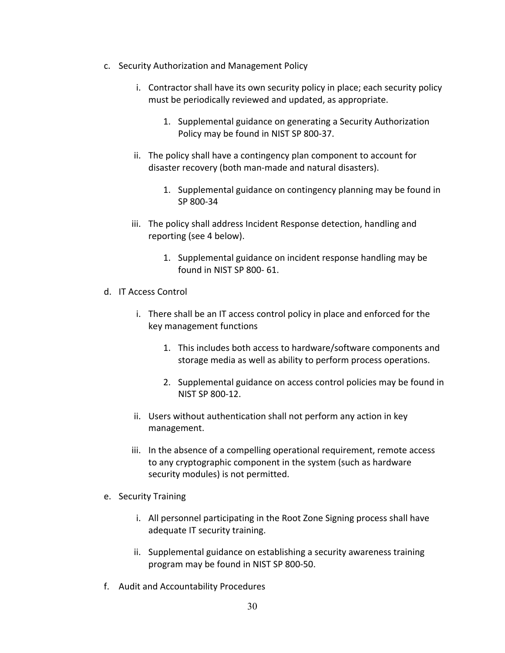- c. Security Authorization and Management Policy
	- i. Contractor shall have its own security policy in place; each security policy must be periodically reviewed and updated, as appropriate.
		- 1. Supplemental guidance on generating a Security Authorization Policy may be found in NIST SP 800-37.
	- ii. The policy shall have a contingency plan component to account for disaster recovery (both man-made and natural disasters).
		- 1. Supplemental guidance on contingency planning may be found in SP 800-34
	- iii. The policy shall address Incident Response detection, handling and reporting (see 4 below).
		- 1. Supplemental guidance on incident response handling may be found in NIST SP 800-61.
- d. IT Access Control
	- i. There shall be an IT access control policy in place and enforced for the key management functions
		- 1. This includes both access to hardware/software components and storage media as well as ability to perform process operations.
		- 2. Supplemental guidance on access control policies may be found in NIST SP 800-12.
	- ii. Users without authentication shall not perform any action in key management.
	- iii. In the absence of a compelling operational requirement, remote access to any cryptographic component in the system (such as hardware security modules) is not permitted.
- e. Security Training
	- i. All personnel participating in the Root Zone Signing process shall have adequate IT security training.
	- ii. Supplemental guidance on establishing a security awareness training program may be found in NIST SP 800-50.
- f. Audit and Accountability Procedures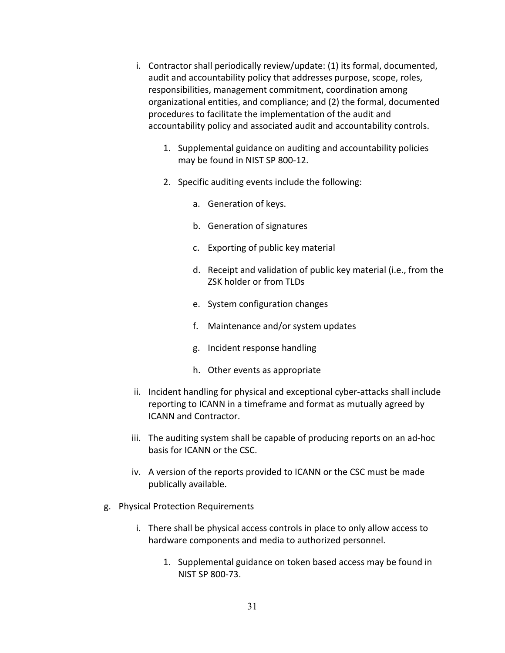- i. Contractor shall periodically review/update: (1) its formal, documented, audit and accountability policy that addresses purpose, scope, roles, responsibilities, management commitment, coordination among organizational entities, and compliance; and (2) the formal, documented procedures to facilitate the implementation of the audit and accountability policy and associated audit and accountability controls.
	- 1. Supplemental guidance on auditing and accountability policies may be found in NIST SP 800-12.
	- 2. Specific auditing events include the following:
		- a. Generation of keys.
		- b. Generation of signatures
		- c. Exporting of public key material
		- d. Receipt and validation of public key material (i.e., from the ZSK holder or from TLDs
		- e. System configuration changes
		- f. Maintenance and/or system updates
		- g. Incident response handling
		- h. Other events as appropriate
- ii. Incident handling for physical and exceptional cyber-attacks shall include reporting to ICANN in a timeframe and format as mutually agreed by ICANN and Contractor.
- iii. The auditing system shall be capable of producing reports on an ad-hoc basis for ICANN or the CSC.
- iv. A version of the reports provided to ICANN or the CSC must be made publically available.
- g. Physical Protection Requirements
	- i. There shall be physical access controls in place to only allow access to hardware components and media to authorized personnel.
		- 1. Supplemental guidance on token based access may be found in NIST SP 800-73.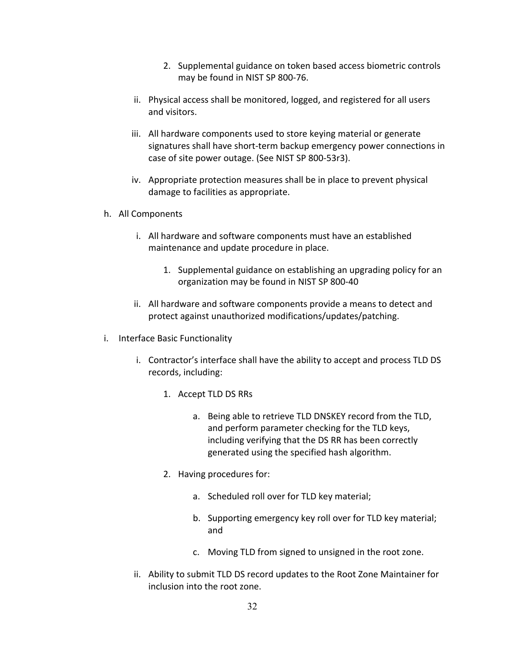- 2. Supplemental guidance on token based access biometric controls may be found in NIST SP 800-76.
- ii. Physical access shall be monitored, logged, and registered for all users and visitors.
- iii. All hardware components used to store keying material or generate signatures shall have short-term backup emergency power connections in case of site power outage. (See NIST SP 800-53r3).
- iv. Appropriate protection measures shall be in place to prevent physical damage to facilities as appropriate.
- h. All Components
	- i. All hardware and software components must have an established maintenance and update procedure in place.
		- 1. Supplemental guidance on establishing an upgrading policy for an organization may be found in NIST SP 800-40
	- ii. All hardware and software components provide a means to detect and protect against unauthorized modifications/updates/patching.
- i. Interface Basic Functionality
	- i. Contractor's interface shall have the ability to accept and process TLD DS records, including:
		- 1. Accept TLD DS RRs
			- a. Being able to retrieve TLD DNSKEY record from the TLD, and perform parameter checking for the TLD keys, including verifying that the DS RR has been correctly generated using the specified hash algorithm.
		- 2. Having procedures for:
			- a. Scheduled roll over for TLD key material;
			- b. Supporting emergency key roll over for TLD key material; and
			- c. Moving TLD from signed to unsigned in the root zone.
	- ii. Ability to submit TLD DS record updates to the Root Zone Maintainer for inclusion into the root zone.